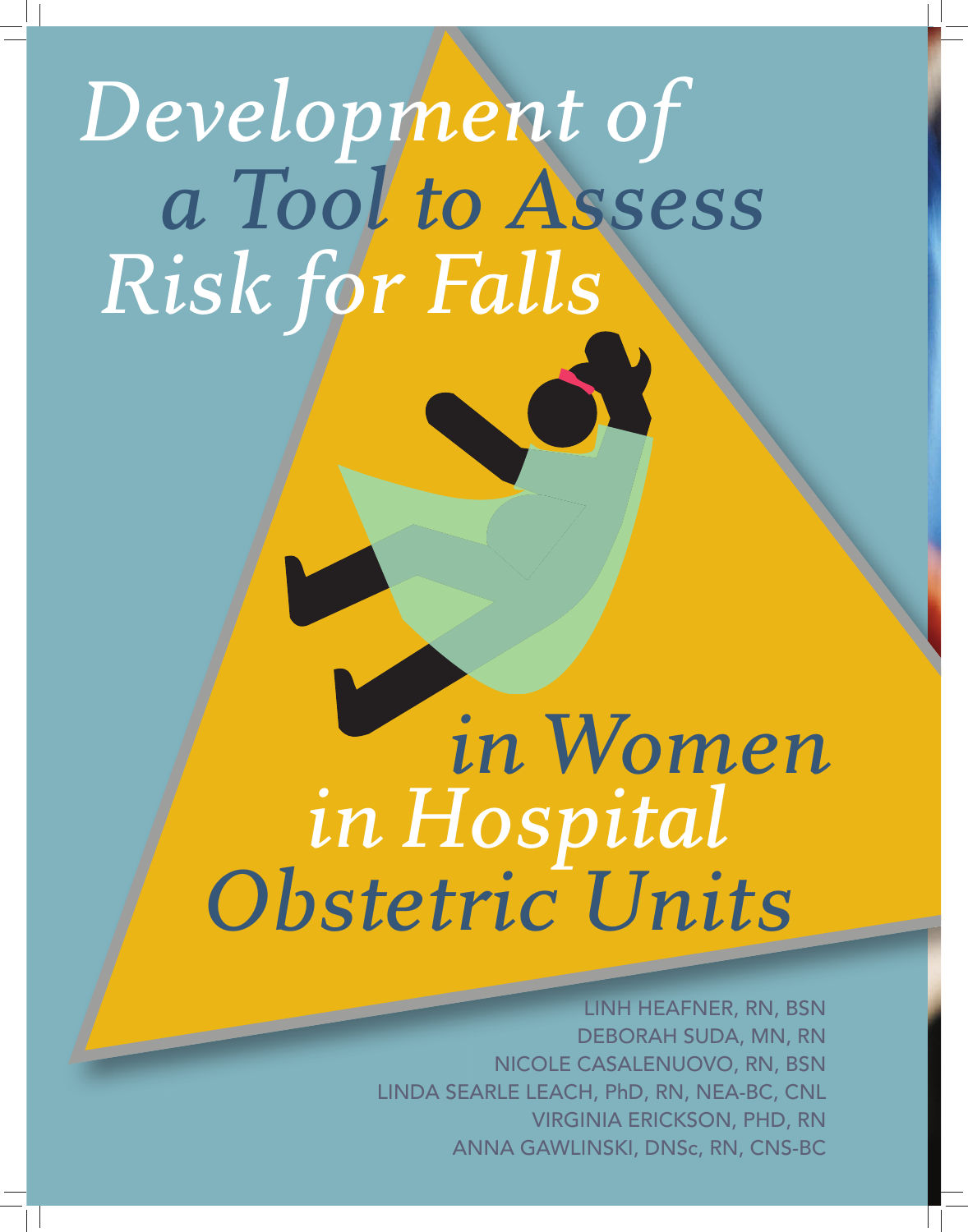# *a Tool to Assess Development of Risk for Falls*

# *in Hospital Obstetric Units in Women*

LINH HEAFNER, RN, BSN DEBORAH SUDA, MN, RN NICOLE CASALENUOVO, RN, BSN LINDA SEARLE LEACH, PhD, RN, NEA-BC, CNL VIRGINIA ERICKSON, PHD, RN ANNA GAWLINSKI, DNSc, RN, CNS-BC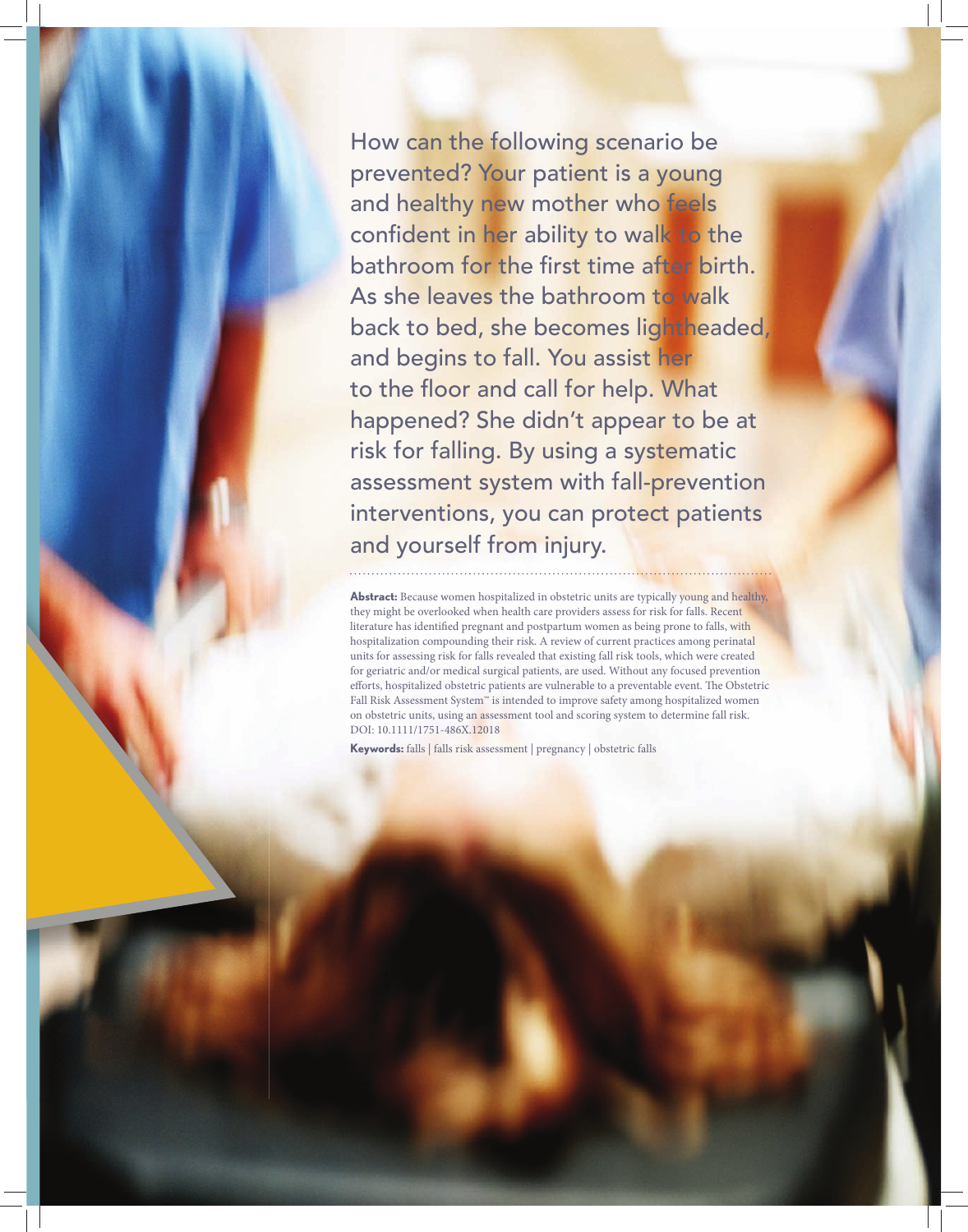How can the following scenario be prevented? Your patient is a young and healthy new mother who feels confident in her ability to walk to the bathroom for the first time after birth. As she leaves the bathroom to walk back to bed, she becomes lightheaded, and begins to fall. You assist her to the floor and call for help. What happened? She didn't appear to be at risk for falling. By using a systematic assessment system with fall-prevention interventions, you can protect patients and yourself from injury.

Abstract: Because women hospitalized in obstetric units are typically young and healthy, they might be overlooked when health care providers assess for risk for falls. Recent literature has identified pregnant and postpartum women as being prone to falls, with hospitalization compounding their risk. A review of current practices among perinatal units for assessing risk for falls revealed that existing fall risk tools, which were created for geriatric and/or medical surgical patients, are used. Without any focused prevention efforts, hospitalized obstetric patients are vulnerable to a preventable event. The Obstetric Fall Risk Assessment System™ is intended to improve safety among hospitalized women on obstetric units, using an assessment tool and scoring system to determine fall risk. DOI: 10.1111/1751-486X.12018

**Keywords:** falls | falls risk assessment | pregnancy | obstetric falls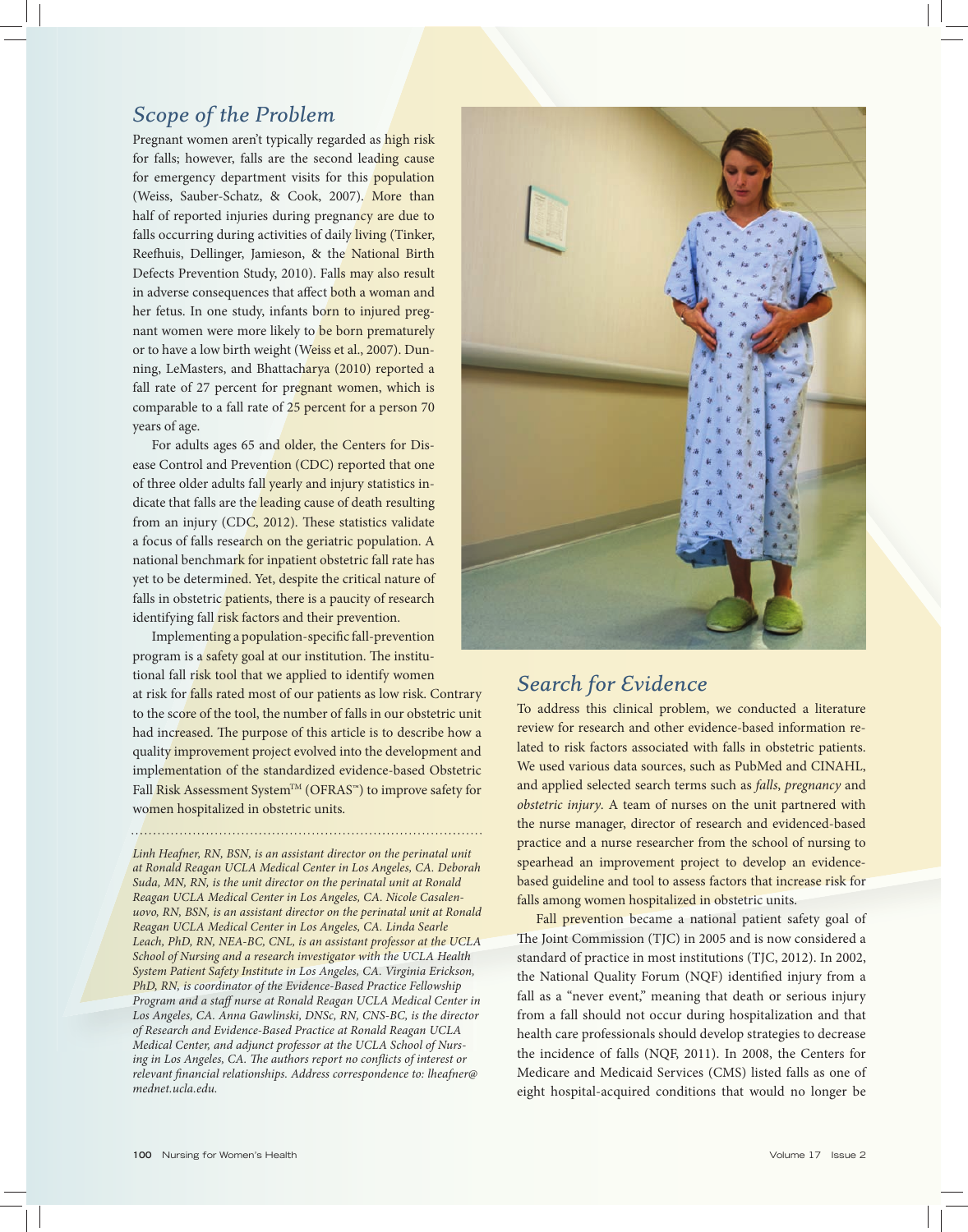# *Scope of the Problem*

Pregnant women aren't typically regarded as high risk for falls; however, falls are the second leading cause for emergency department visits for this population (Weiss, Sauber-Schatz, & Cook, 2007). More than half of reported injuries during pregnancy are due to falls occurring during activities of daily living (Tinker, Reefhuis, Dellinger, Jamieson, & the National Birth Defects Prevention Study, 2010). Falls may also result in adverse consequences that affect both a woman and her fetus. In one study, infants born to injured pregnant women were more likely to be born prematurely or to have a low birth weight (Weiss et al., 2007). Dunning, LeMasters, and Bhattacharya (2010) reported a fall rate of 27 percent for pregnant women, which is comparable to a fall rate of 25 percent for a person 70 years of age.

For adults ages 65 and older, the Centers for Disease Control and Prevention (CDC) reported that one of three older adults fall yearly and injury statistics indicate that falls are the leading cause of death resulting from an injury (CDC, 2012). These statistics validate a focus of falls research on the geriatric population. A national benchmark for inpatient obstetric fall rate has yet to be determined. Yet, despite the critical nature of falls in obstetric patients, there is a paucity of research identifying fall risk factors and their prevention.

Implementing a population-specific fall-prevention program is a safety goal at our institution. The institutional fall risk tool that we applied to identify women at risk for falls rated most of our patients as low risk. Contrary to the score of the tool, the number of falls in our obstetric unit had increased. The purpose of this article is to describe how a quality improvement project evolved into the development and implementation of the standardized evidence-based Obstetric Fall Risk Assessment System™ (OFRAS™) to improve safety for women hospitalized in obstetric units.

*Linh Heafner, RN, BSN, is an assistant director on the perinatal unit at Ronald Reagan UCLA Medical Center in Los Angeles, CA. Deborah Suda, MN, RN, is the unit director on the perinatal unit at Ronald Reagan UCLA Medical Center in Los Angeles, CA. Nicole Casalenuovo, RN, BSN, is an assistant director on the perinatal unit at Ronald Reagan UCLA Medical Center in Los Angeles, CA. Linda Searle Leach, PhD, RN, NEA-BC, CNL, is an assistant professor at the UCLA School of Nursing and a research investigator with the UCLA Health System Patient Safety Institute in Los Angeles, CA. Virginia Erickson, PhD, RN, is coordinator of the Evidence-Based Practice Fellowship Program and a staff nurse at Ronald Reagan UCLA Medical Center in Los Angeles, CA. Anna Gawlinski, DNSc, RN, CNS-BC, is the director of Research and Evidence-Based Practice at Ronald Reagan UCLA Medical Center, and adjunct professor at the UCLA School of Nurs*ing in Los Angeles, CA. The authors report no conflicts of interest or *relevant fi nancial relationships. Address correspondence to: lheafner@ mednet.ucla.edu.*



# *Search for Evidence*

To address this clinical problem, we conducted a literature review for research and other evidence-based information related to risk factors associated with falls in obstetric patients. We used various data sources, such as PubMed and CINAHL, and applied selected search terms such as *falls*, *pregnancy* and *obstetric injury*. A team of nurses on the unit partnered with the nurse manager, director of research and evidenced-based practice and a nurse researcher from the school of nursing to spearhead an improvement project to develop an evidencebased guideline and tool to assess factors that increase risk for falls among women hospitalized in obstetric units.

Fall prevention became a national patient safety goal of The Joint Commission (TJC) in 2005 and is now considered a standard of practice in most institutions (TJC, 2012). In 2002, the National Quality Forum (NQF) identified injury from a fall as a "never event," meaning that death or serious injury from a fall should not occur during hospitalization and that health care professionals should develop strategies to decrease the incidence of falls (NQF, 2011). In 2008, the Centers for Medicare and Medicaid Services (CMS) listed falls as one of eight hospital-acquired conditions that would no longer be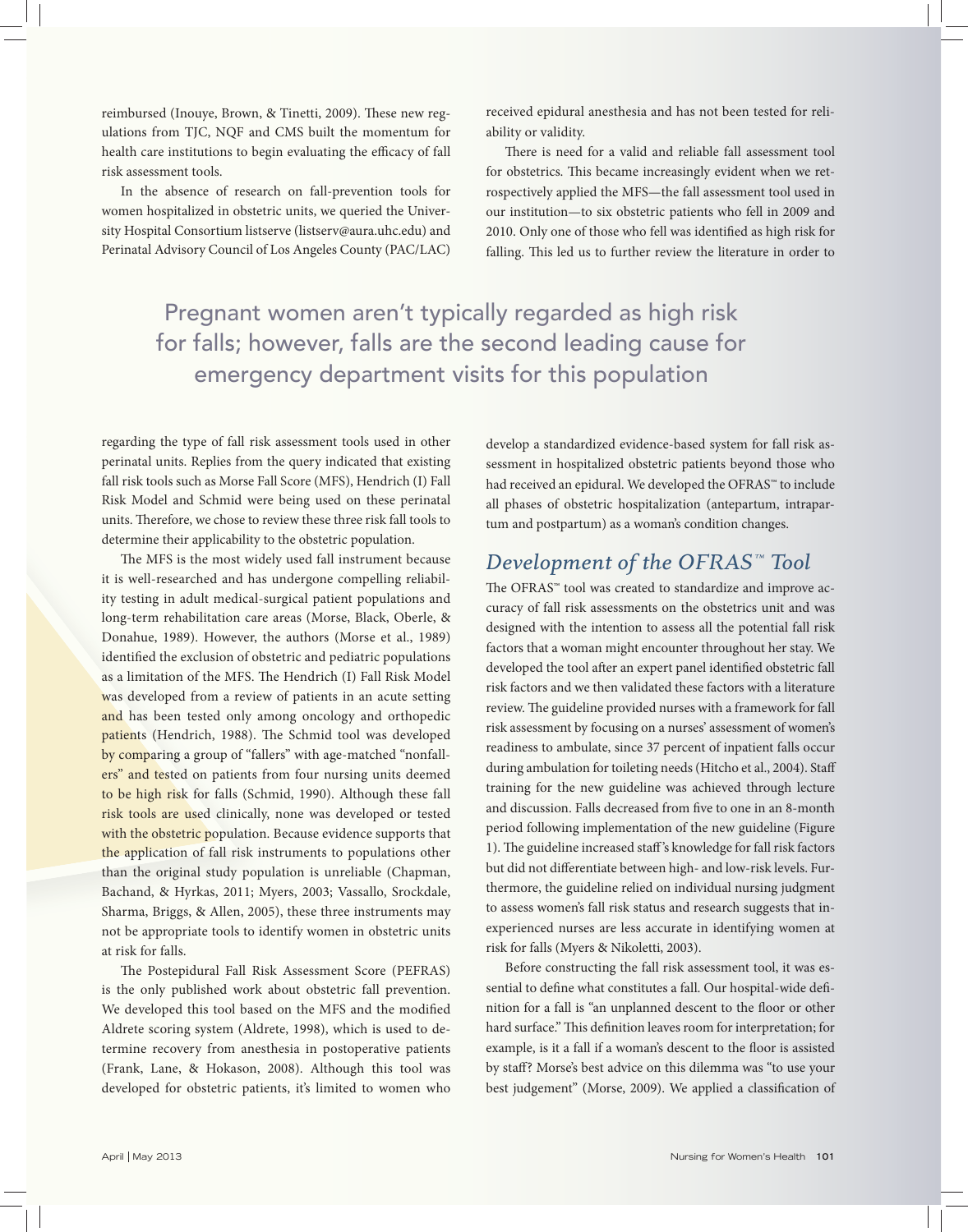reimbursed (Inouye, Brown, & Tinetti, 2009). These new regulations from TJC, NQF and CMS built the momentum for health care institutions to begin evaluating the efficacy of fall risk assessment tools.

In the absence of research on fall-prevention tools for women hospitalized in obstetric units, we queried the University Hospital Consortium listserve (listserv@aura.uhc.edu) and Perinatal Advisory Council of Los Angeles County (PAC/LAC)

received epidural anesthesia and has not been tested for reliability or validity.

There is need for a valid and reliable fall assessment tool for obstetrics. This became increasingly evident when we retrospectively applied the MFS—the fall assessment tool used in our institution—to six obstetric patients who fell in 2009 and 2010. Only one of those who fell was identified as high risk for falling. This led us to further review the literature in order to

Pregnant women aren't typically regarded as high risk for falls; however, falls are the second leading cause for emergency department visits for this population

regarding the type of fall risk assessment tools used in other perinatal units. Replies from the query indicated that existing fall risk tools such as Morse Fall Score (MFS), Hendrich (I) Fall Risk Model and Schmid were being used on these perinatal units. Therefore, we chose to review these three risk fall tools to determine their applicability to the obstetric population.

The MFS is the most widely used fall instrument because it is well-researched and has undergone compelling reliability testing in adult medical-surgical patient populations and long-term rehabilitation care areas (Morse, Black, Oberle, & Donahue, 1989). However, the authors (Morse et al., 1989) identified the exclusion of obstetric and pediatric populations as a limitation of the MFS. The Hendrich (I) Fall Risk Model was developed from a review of patients in an acute setting and has been tested only among oncology and orthopedic patients (Hendrich, 1988). The Schmid tool was developed by comparing a group of "fallers" with age-matched "nonfallers" and tested on patients from four nursing units deemed to be high risk for falls (Schmid, 1990). Although these fall risk tools are used clinically, none was developed or tested with the obstetric population. Because evidence supports that the application of fall risk instruments to populations other than the original study population is unreliable (Chapman, Bachand, & Hyrkas, 2011; Myers, 2003; Vassallo, Srockdale, Sharma, Briggs, & Allen, 2005), these three instruments may not be appropriate tools to identify women in obstetric units at risk for falls.

The Postepidural Fall Risk Assessment Score (PEFRAS) is the only published work about obstetric fall prevention. We developed this tool based on the MFS and the modified Aldrete scoring system (Aldrete, 1998), which is used to determine recovery from anesthesia in postoperative patients (Frank, Lane, & Hokason, 2008). Although this tool was developed for obstetric patients, it's limited to women who develop a standardized evidence-based system for fall risk assessment in hospitalized obstetric patients beyond those who had received an epidural. We developed the OFRAS™ to include all phases of obstetric hospitalization (antepartum, intrapartum and postpartum) as a woman's condition changes.

# *Development of the OFRAS™ Tool*

The OFRAS™ tool was created to standardize and improve accuracy of fall risk assessments on the obstetrics unit and was designed with the intention to assess all the potential fall risk factors that a woman might encounter throughout her stay. We developed the tool after an expert panel identified obstetric fall risk factors and we then validated these factors with a literature review. The guideline provided nurses with a framework for fall risk assessment by focusing on a nurses' assessment of women's readiness to ambulate, since 37 percent of inpatient falls occur during ambulation for toileting needs (Hitcho et al., 2004). Staff training for the new guideline was achieved through lecture and discussion. Falls decreased from five to one in an 8-month period following implementation of the new guideline (Figure 1). The guideline increased staff's knowledge for fall risk factors but did not differentiate between high- and low-risk levels. Furthermore, the guideline relied on individual nursing judgment to assess women's fall risk status and research suggests that inexperienced nurses are less accurate in identifying women at risk for falls (Myers & Nikoletti, 2003).

Before constructing the fall risk assessment tool, it was essential to define what constitutes a fall. Our hospital-wide definition for a fall is "an unplanned descent to the floor or other hard surface." This definition leaves room for interpretation; for example, is it a fall if a woman's descent to the floor is assisted by staff? Morse's best advice on this dilemma was "to use your best judgement" (Morse, 2009). We applied a classification of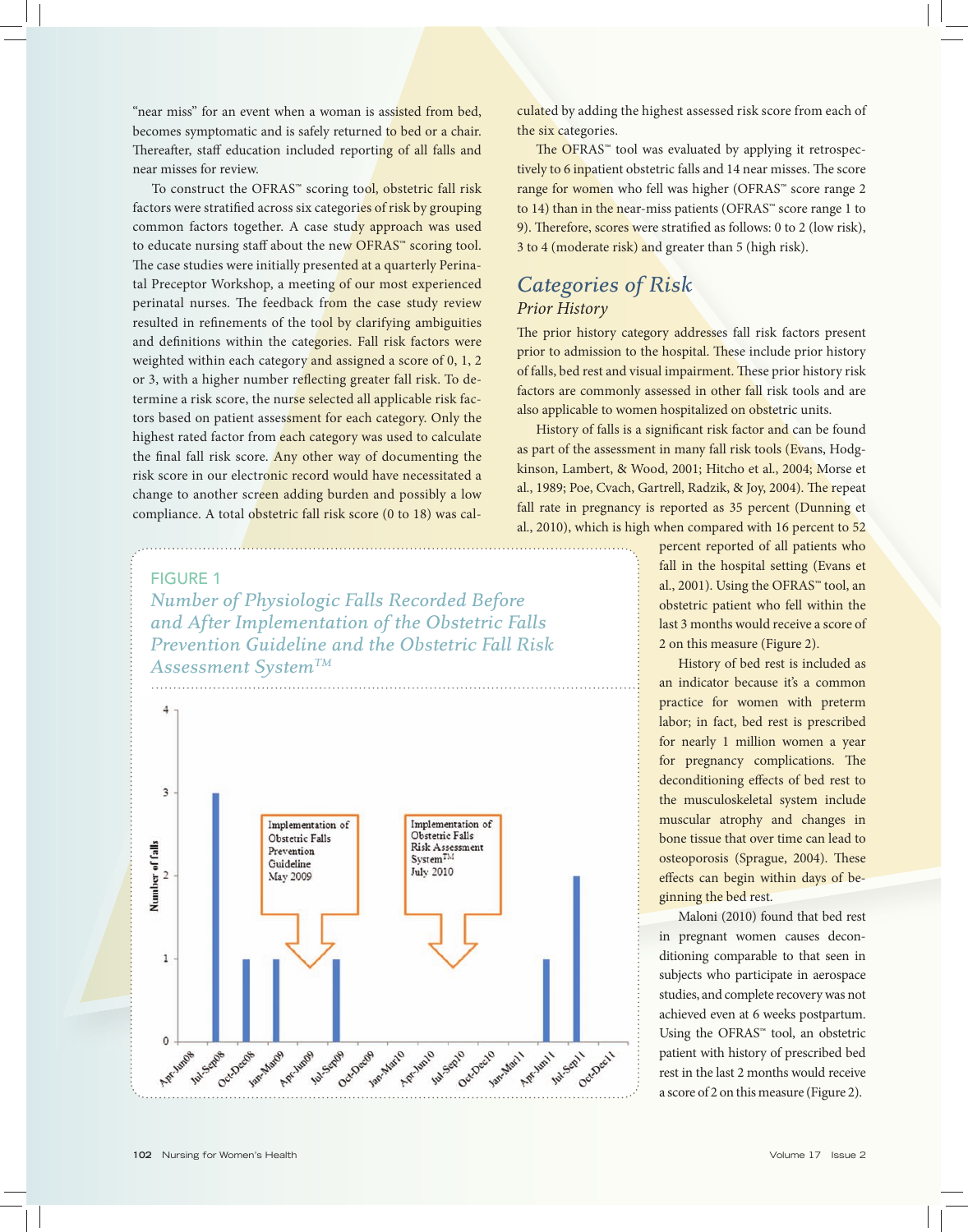"near miss" for an event when a woman is assisted from bed, becomes symptomatic and is safely returned to bed or a chair. Thereafter, staff education included reporting of all falls and near misses for review.

To construct the OFRAS™ scoring tool, obstetric fall risk factors were stratified across six categories of risk by grouping common factors together. A case study approach was used to educate nursing staff about the new OFRAS™ scoring tool. The case studies were initially presented at a quarterly Perinatal Preceptor Workshop, a meeting of our most experienced perinatal nurses. The feedback from the case study review resulted in refinements of the tool by clarifying ambiguities and definitions within the categories. Fall risk factors were weighted within each category and assigned a score of 0, 1, 2 or 3, with a higher number reflecting greater fall risk. To determine a risk score, the nurse selected all applicable risk factors based on patient assessment for each category. Only the highest rated factor from each category was used to calculate the final fall risk score. Any other way of documenting the risk score in our electronic record would have necessitated a change to another screen adding burden and possibly a low compliance. A total obstetric fall risk score (0 to 18) was cal-

FIGURE 1 *Number of Physiologic Falls Recorded Before and After Implementation of the Obstetric Falls Prevention Guideline and the Obstetric Fall Risk Assessment SystemTM*



culated by adding the highest assessed risk score from each of the six categories.

The OFRAS™ tool was evaluated by applying it retrospectively to 6 inpatient obstetric falls and 14 near misses. The score range for women who fell was higher (OFRAS™ score range 2 to 14) than in the near-miss patients (OFRAS™ score range 1 to 9). Therefore, scores were stratified as follows: 0 to 2 (low risk), 3 to 4 (moderate risk) and greater than 5 (high risk).

## *Categories of Risk Prior History*

The prior history category addresses fall risk factors present prior to admission to the hospital. These include prior history of falls, bed rest and visual impairment. These prior history risk factors are commonly assessed in other fall risk tools and are also applicable to women hospitalized on obstetric units.

History of falls is a significant risk factor and can be found as part of the assessment in many fall risk tools (Evans, Hodgkinson, Lambert, & Wood, 2001; Hitcho et al., 2004; Morse et al., 1989; Poe, Cvach, Gartrell, Radzik, & Joy, 2004). The repeat fall rate in pregnancy is reported as 35 percent (Dunning et al., 2010), which is high when compared with 16 percent to 52

> percent reported of all patients who fall in the hospital setting (Evans et al., 2001). Using the OFRAS™ tool, an obstetric patient who fell within the last 3 months would receive a score of 2 on this measure (Figure 2).

> History of bed rest is included as an indicator because it's a common practice for women with preterm labor; in fact, bed rest is prescribed for nearly 1 million women a year for pregnancy complications. The deconditioning effects of bed rest to the musculoskeletal system include muscular atrophy and changes in bone tissue that over time can lead to osteoporosis (Sprague, 2004). These effects can begin within days of beginning the bed rest.

> Maloni (2010) found that bed rest in pregnant women causes deconditioning comparable to that seen in subjects who participate in aerospace studies, and complete recovery was not achieved even at 6 weeks postpartum. Using the OFRAS™ tool, an obstetric patient with history of prescribed bed rest in the last 2 months would receive a score of 2 on this measure (Figure 2).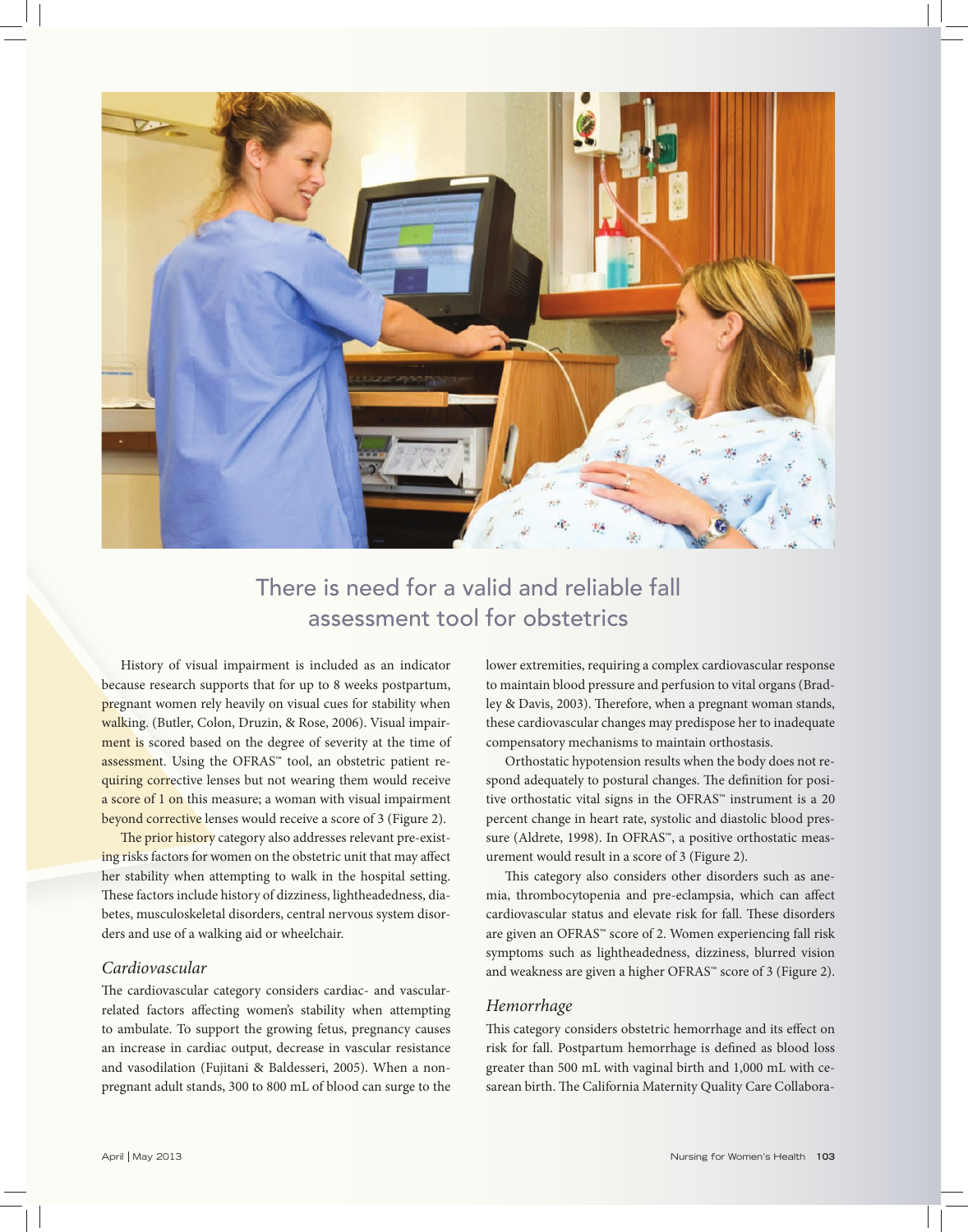

# There is need for a valid and reliable fall assessment tool for obstetrics

History of visual impairment is included as an indicator because research supports that for up to 8 weeks postpartum, pregnant women rely heavily on visual cues for stability when walking. (Butler, Colon, Druzin, & Rose, 2006). Visual impairment is scored based on the degree of severity at the time of assessment. Using the OFRAS™ tool, an obstetric patient requiring corrective lenses but not wearing them would receive a score of 1 on this measure; a woman with visual impairment beyond corrective lenses would receive a score of 3 (Figure 2).

The prior history category also addresses relevant pre-existing risks factors for women on the obstetric unit that may affect her stability when attempting to walk in the hospital setting. These factors include history of dizziness, lightheadedness, diabetes, musculoskeletal disorders, central nervous system disorders and use of a walking aid or wheelchair.

#### *Cardiovascular*

The cardiovascular category considers cardiac- and vascularrelated factors affecting women's stability when attempting to ambulate. To support the growing fetus, pregnancy causes an increase in cardiac output, decrease in vascular resistance and vasodilation (Fujitani & Baldesseri, 2005). When a nonpregnant adult stands, 300 to 800 mL of blood can surge to the lower extremities, requiring a complex cardiovascular response to maintain blood pressure and perfusion to vital organs (Bradley & Davis, 2003). Therefore, when a pregnant woman stands, these cardiovascular changes may predispose her to inadequate compensatory mechanisms to maintain orthostasis.

Orthostatic hypotension results when the body does not respond adequately to postural changes. The definition for positive orthostatic vital signs in the OFRAS™ instrument is a 20 percent change in heart rate, systolic and diastolic blood pressure (Aldrete, 1998). In OFRAS™, a positive orthostatic measurement would result in a score of 3 (Figure 2).

This category also considers other disorders such as anemia, thrombocytopenia and pre-eclampsia, which can affect cardiovascular status and elevate risk for fall. These disorders are given an OFRAS™ score of 2. Women experiencing fall risk symptoms such as lightheadedness, dizziness, blurred vision and weakness are given a higher OFRAS™ score of 3 (Figure 2).

#### *Hemorrhage*

This category considers obstetric hemorrhage and its effect on risk for fall. Postpartum hemorrhage is defined as blood loss greater than 500 mL with vaginal birth and 1,000 mL with cesarean birth. The California Maternity Quality Care Collabora-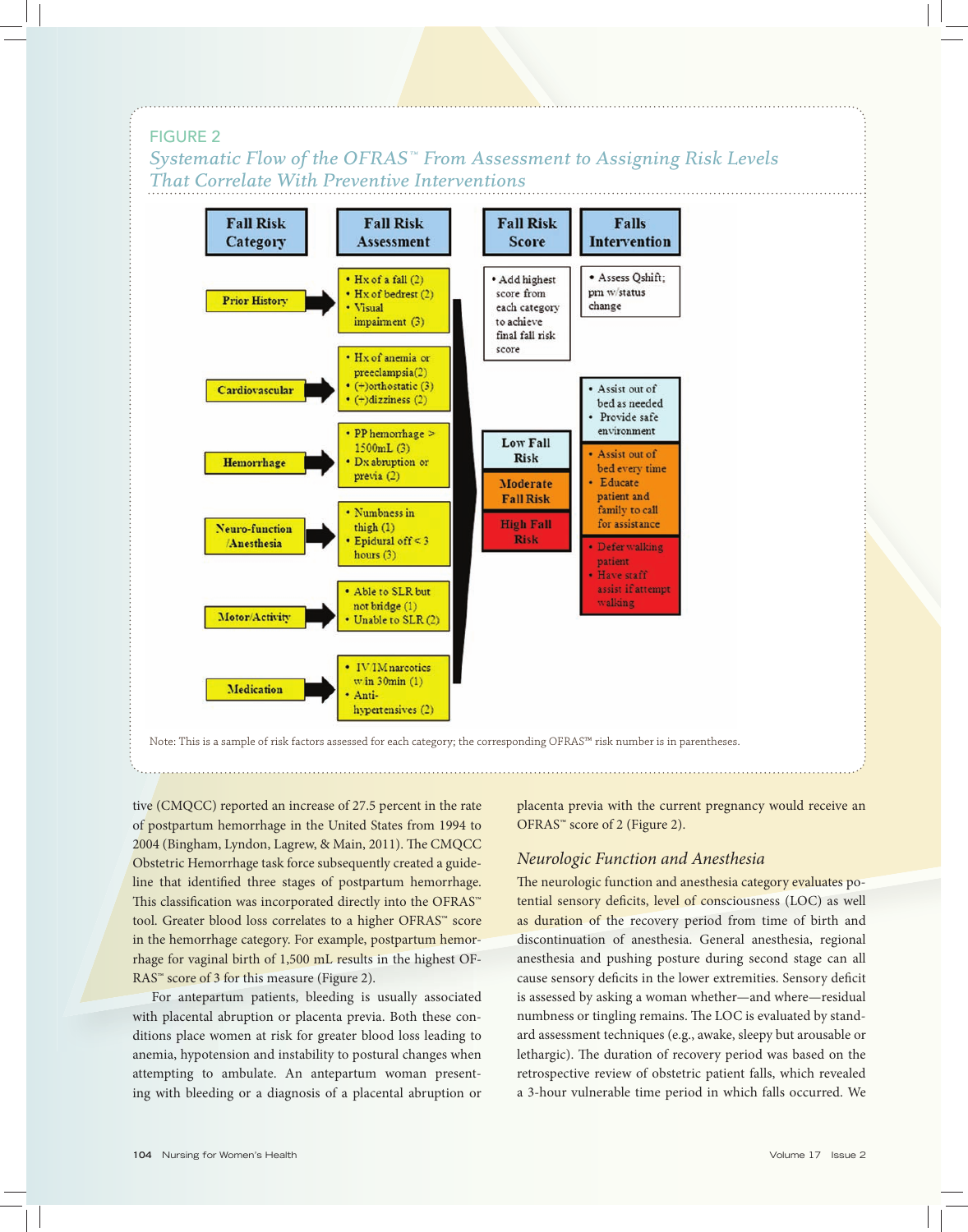#### FIGURE 2

*Systematic Flow of the OFRAS™ From Assessment to Assigning Risk Levels That Correlate With Preventive Interventions*



Note: This is a sample of risk factors assessed for each category; the corresponding OFRAS™ risk number is in parentheses.

tive (CMQCC) reported an increase of 27.5 percent in the rate of postpartum hemorrhage in the United States from 1994 to 2004 (Bingham, Lyndon, Lagrew, & Main, 2011). The CMQCC Obstetric Hemorrhage task force subsequently created a guideline that identified three stages of postpartum hemorrhage. This classification was incorporated directly into the OFRAS™ tool. Greater blood loss correlates to a higher OFRAS™ score in the hemorrhage category. For example, postpartum hemorrhage for vaginal birth of 1,500 mL results in the highest OF-RAS<sup>™</sup> score of 3 for this measure (Figure 2).

For antepartum patients, bleeding is usually associated with placental abruption or placenta previa. Both these conditions place women at risk for greater blood loss leading to anemia, hypotension and instability to postural changes when attempting to ambulate. An antepartum woman presenting with bleeding or a diagnosis of a placental abruption or placenta previa with the current pregnancy would receive an OFRAS™ score of 2 (Figure 2).

#### *Neurologic Function and Anesthesia*

The neurologic function and anesthesia category evaluates potential sensory deficits, level of consciousness (LOC) as well as duration of the recovery period from time of birth and discontinuation of anesthesia. General anesthesia, regional anesthesia and pushing posture during second stage can all cause sensory deficits in the lower extremities. Sensory deficit is assessed by asking a woman whether—and where—residual numbness or tingling remains. The LOC is evaluated by standard assessment techniques (e.g., awake, sleepy but arousable or lethargic). The duration of recovery period was based on the retrospective review of obstetric patient falls, which revealed a 3-hour vulnerable time period in which falls occurred. We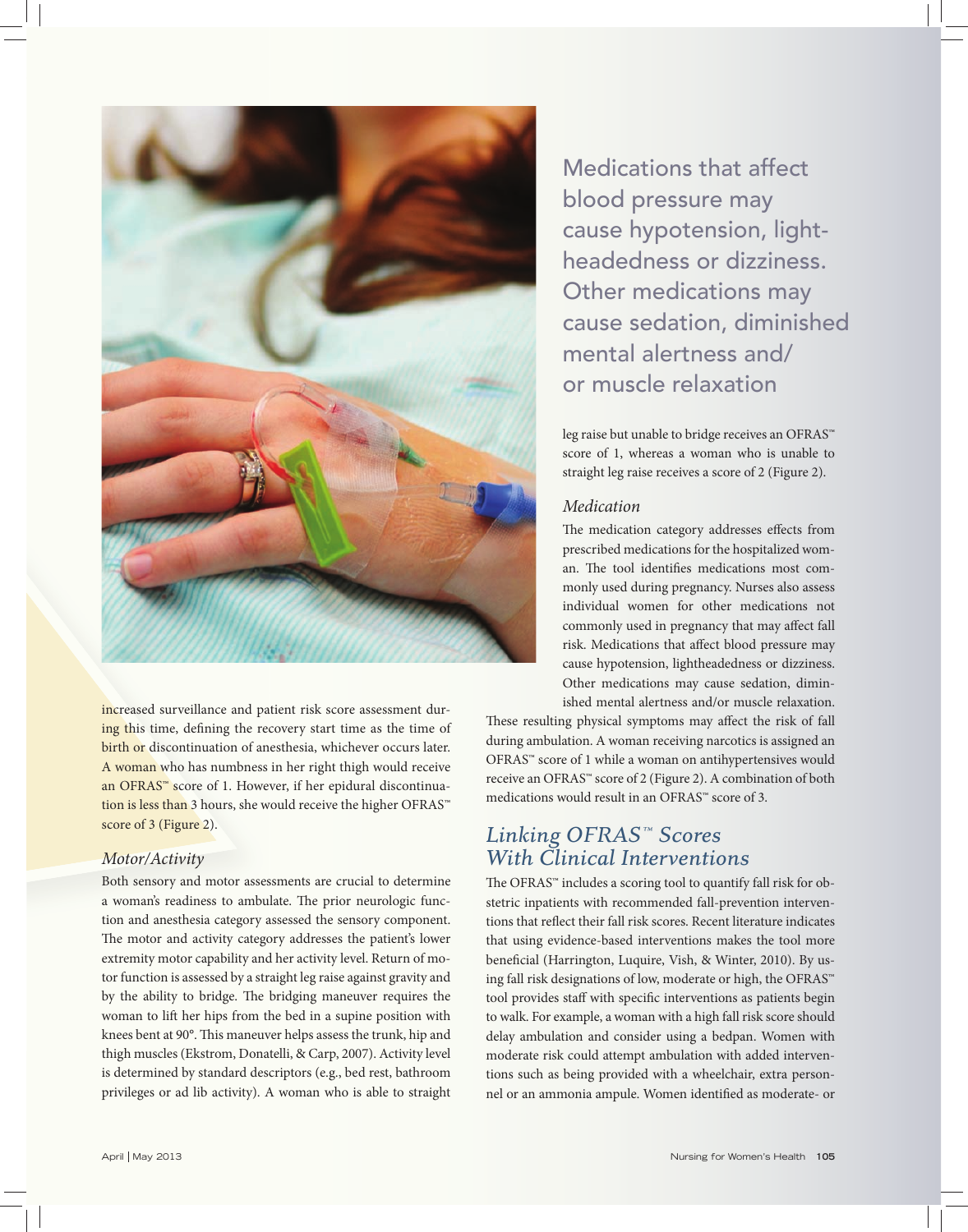

increased surveillance and patient risk score assessment during this time, defining the recovery start time as the time of birth or discontinuation of anesthesia, whichever occurs later. A woman who has numbness in her right thigh would receive an OFRAS™ score of 1. However, if her epidural discontinuation is less than 3 hours, she would receive the higher OFRAS™ score of 3 (Figure 2).

#### *Motor/Activity*

Both sensory and motor assessments are crucial to determine a woman's readiness to ambulate. The prior neurologic function and anesthesia category assessed the sensory component. The motor and activity category addresses the patient's lower extremity motor capability and her activity level. Return of motor function is assessed by a straight leg raise against gravity and by the ability to bridge. The bridging maneuver requires the woman to lift her hips from the bed in a supine position with knees bent at 90°. This maneuver helps assess the trunk, hip and thigh muscles (Ekstrom, Donatelli, & Carp, 2007). Activity level is determined by standard descriptors (e.g., bed rest, bathroom privileges or ad lib activity). A woman who is able to straight

Medications that affect blood pressure may cause hypotension, lightheadedness or dizziness. Other medications may cause sedation, diminished mental alertness and/ or muscle relaxation

leg raise but unable to bridge receives an OFRAS™ score of 1, whereas a woman who is unable to straight leg raise receives a score of 2 (Figure 2).

#### *Medication*

The medication category addresses effects from prescribed medications for the hospitalized woman. The tool identifies medications most commonly used during pregnancy. Nurses also assess individual women for other medications not commonly used in pregnancy that may affect fall risk. Medications that affect blood pressure may cause hypotension, lightheadedness or dizziness. Other medications may cause sedation, diminished mental alertness and/or muscle relaxation.

These resulting physical symptoms may affect the risk of fall during ambulation. A woman receiving narcotics is assigned an OFRAS™ score of 1 while a woman on antihypertensives would receive an OFRAS™ score of 2 (Figure 2). A combination of both medications would result in an OFRAS™ score of 3.

# *Linking OFRAS™ Scores With Clinical Interventions*

The OFRAS™ includes a scoring tool to quantify fall risk for obstetric inpatients with recommended fall-prevention interventions that reflect their fall risk scores. Recent literature indicates that using evidence-based interventions makes the tool more beneficial (Harrington, Luquire, Vish, & Winter, 2010). By using fall risk designations of low, moderate or high, the OFRAS™ tool provides staff with specific interventions as patients begin to walk. For example, a woman with a high fall risk score should delay ambulation and consider using a bedpan. Women with moderate risk could attempt ambulation with added interventions such as being provided with a wheelchair, extra personnel or an ammonia ampule. Women identified as moderate- or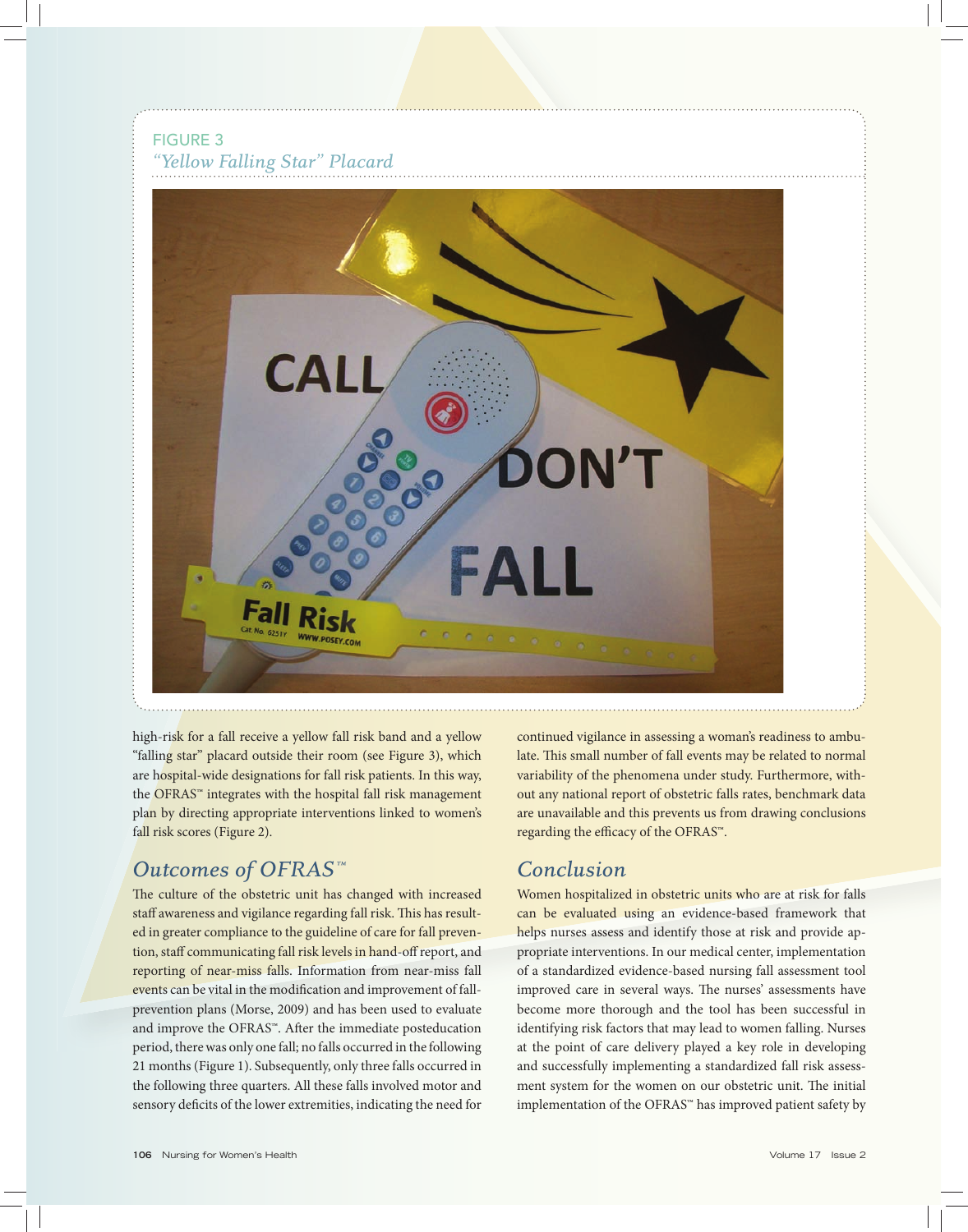FIGURE 3 *"Yellow Falling Star" Placard* 



high-risk for a fall receive a yellow fall risk band and a yellow "falling star" placard outside their room (see Figure 3), which are hospital-wide designations for fall risk patients. In this way, the OFRAS™ integrates with the hospital fall risk management plan by directing appropriate interventions linked to women's fall risk scores (Figure 2).

# *Outcomes of OFRAS™*

The culture of the obstetric unit has changed with increased staff awareness and vigilance regarding fall risk. This has resulted in greater compliance to the guideline of care for fall prevention, staff communicating fall risk levels in hand-off report, and reporting of near-miss falls. Information from near-miss fall events can be vital in the modification and improvement of fallprevention plans (Morse, 2009) and has been used to evaluate and improve the OFRAS™. After the immediate posteducation period, there was only one fall; no falls occurred in the following 21 months (Figure 1). Subsequently, only three falls occurred in the following three quarters. All these falls involved motor and sensory deficits of the lower extremities, indicating the need for continued vigilance in assessing a woman's readiness to ambulate. This small number of fall events may be related to normal variability of the phenomena under study. Furthermore, without any national report of obstetric falls rates, benchmark data are unavailable and this prevents us from drawing conclusions regarding the efficacy of the OFRAS™.

# *Conclusion*

Women hospitalized in obstetric units who are at risk for falls can be evaluated using an evidence-based framework that helps nurses assess and identify those at risk and provide appropriate interventions. In our medical center, implementation of a standardized evidence-based nursing fall assessment tool improved care in several ways. The nurses' assessments have become more thorough and the tool has been successful in identifying risk factors that may lead to women falling. Nurses at the point of care delivery played a key role in developing and successfully implementing a standardized fall risk assessment system for the women on our obstetric unit. The initial implementation of the OFRAS™ has improved patient safety by